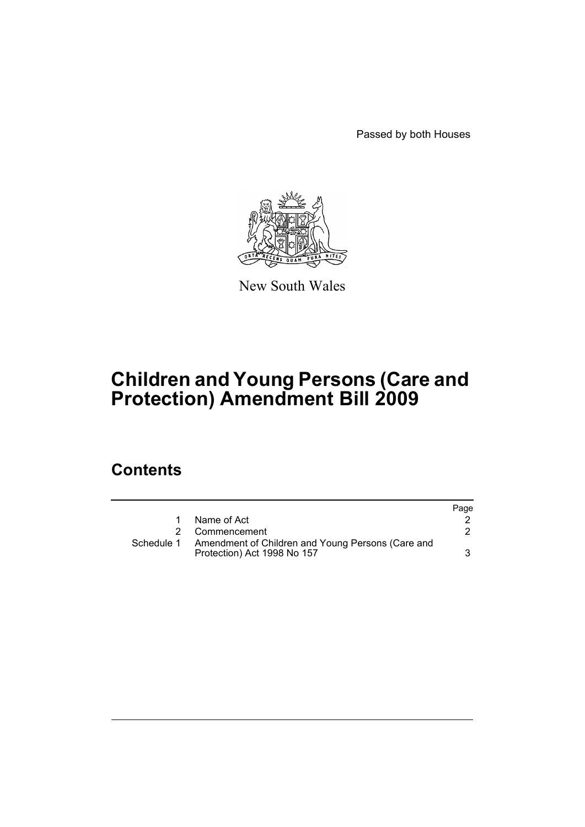Passed by both Houses



New South Wales

# **Children and Young Persons (Care and Protection) Amendment Bill 2009**

## **Contents**

|            |                                                                                  | Page |
|------------|----------------------------------------------------------------------------------|------|
|            | Name of Act                                                                      |      |
|            | Commencement                                                                     |      |
| Schedule 1 | Amendment of Children and Young Persons (Care and<br>Protection) Act 1998 No 157 |      |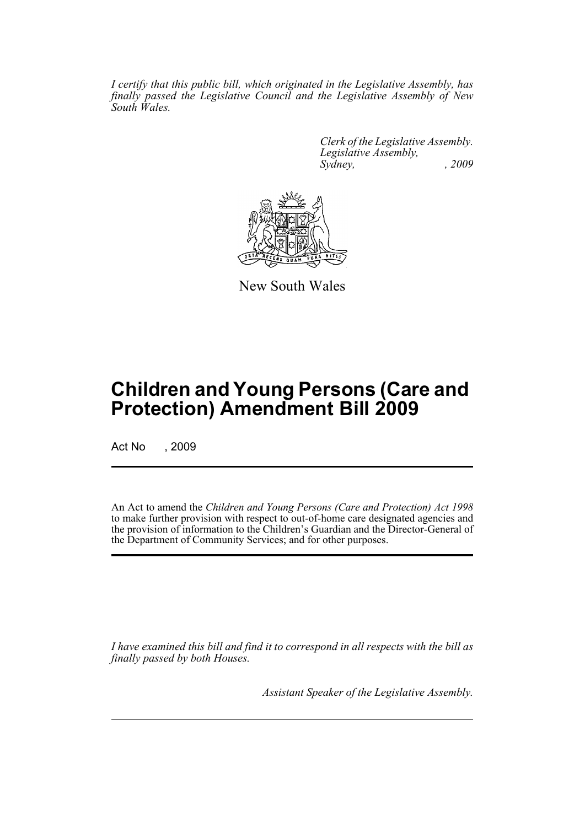*I certify that this public bill, which originated in the Legislative Assembly, has finally passed the Legislative Council and the Legislative Assembly of New South Wales.*

> *Clerk of the Legislative Assembly. Legislative Assembly, Sydney, , 2009*



New South Wales

## **Children and Young Persons (Care and Protection) Amendment Bill 2009**

Act No , 2009

An Act to amend the *Children and Young Persons (Care and Protection) Act 1998* to make further provision with respect to out-of-home care designated agencies and the provision of information to the Children's Guardian and the Director-General of the Department of Community Services; and for other purposes.

*I have examined this bill and find it to correspond in all respects with the bill as finally passed by both Houses.*

*Assistant Speaker of the Legislative Assembly.*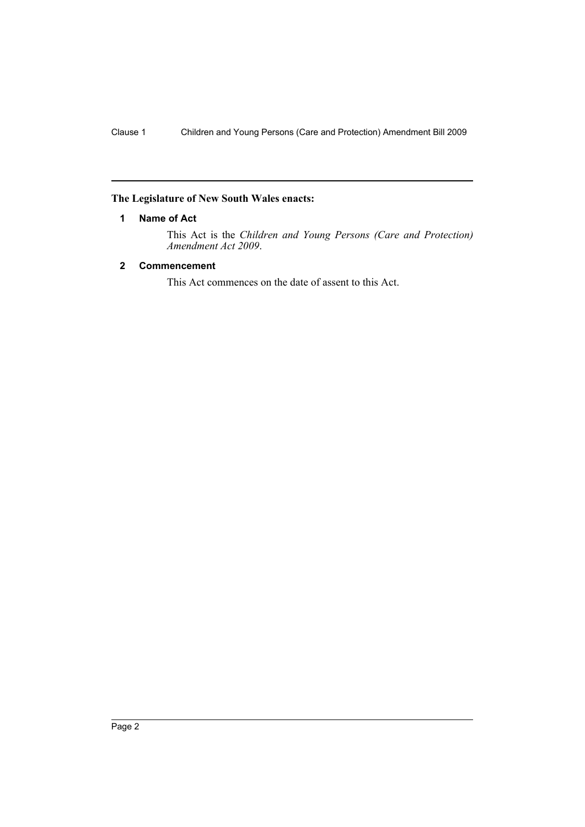### <span id="page-2-0"></span>**The Legislature of New South Wales enacts:**

#### **1 Name of Act**

This Act is the *Children and Young Persons (Care and Protection) Amendment Act 2009*.

#### <span id="page-2-1"></span>**2 Commencement**

This Act commences on the date of assent to this Act.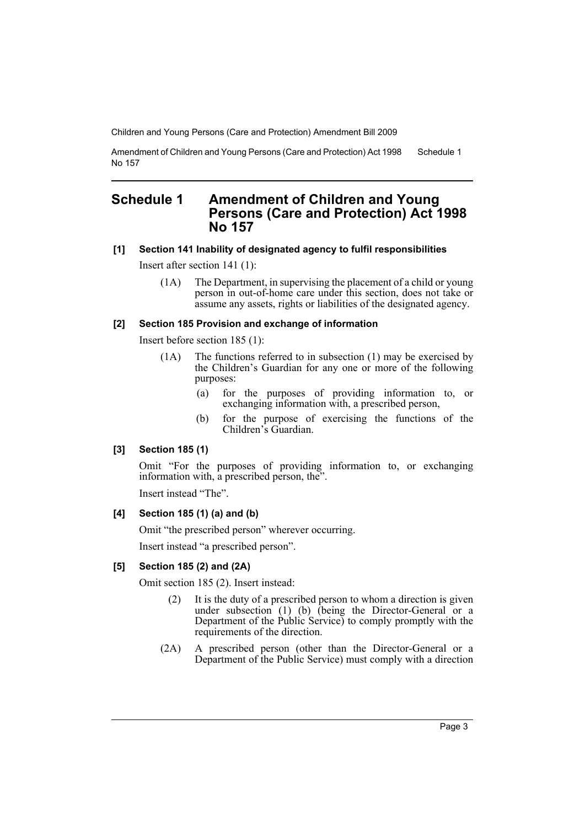Children and Young Persons (Care and Protection) Amendment Bill 2009

Amendment of Children and Young Persons (Care and Protection) Act 1998 No 157 Schedule 1

## <span id="page-3-0"></span>**Schedule 1 Amendment of Children and Young Persons (Care and Protection) Act 1998 No 157**

### **[1] Section 141 Inability of designated agency to fulfil responsibilities**

Insert after section 141 (1):

(1A) The Department, in supervising the placement of a child or young person in out-of-home care under this section, does not take or assume any assets, rights or liabilities of the designated agency.

#### **[2] Section 185 Provision and exchange of information**

Insert before section 185 (1):

- (1A) The functions referred to in subsection (1) may be exercised by the Children's Guardian for any one or more of the following purposes:
	- (a) for the purposes of providing information to, or exchanging information with, a prescribed person,
	- (b) for the purpose of exercising the functions of the Children's Guardian.

#### **[3] Section 185 (1)**

Omit "For the purposes of providing information to, or exchanging information with, a prescribed person, the".

Insert instead "The".

#### **[4] Section 185 (1) (a) and (b)**

Omit "the prescribed person" wherever occurring.

Insert instead "a prescribed person".

#### **[5] Section 185 (2) and (2A)**

Omit section 185 (2). Insert instead:

- (2) It is the duty of a prescribed person to whom a direction is given under subsection (1) (b) (being the Director-General or a Department of the Public Service) to comply promptly with the requirements of the direction.
- (2A) A prescribed person (other than the Director-General or a Department of the Public Service) must comply with a direction